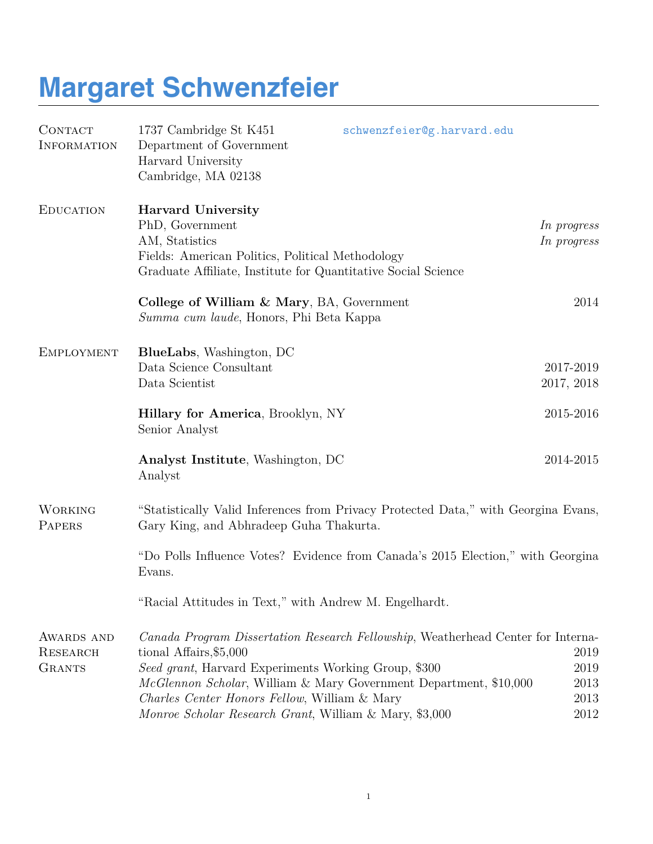## **Margaret Schwenzfeier**

| <b>CONTACT</b><br><b>INFORMATION</b>           | 1737 Cambridge St K451<br>Department of Government<br>Harvard University<br>Cambridge, MA 02138                                                                                                                                                                                                                                                               | schwenzfeier@g.harvard.edu |                                      |
|------------------------------------------------|---------------------------------------------------------------------------------------------------------------------------------------------------------------------------------------------------------------------------------------------------------------------------------------------------------------------------------------------------------------|----------------------------|--------------------------------------|
| <b>EDUCATION</b>                               | <b>Harvard University</b><br>PhD, Government<br>AM, Statistics<br>Fields: American Politics, Political Methodology<br>Graduate Affiliate, Institute for Quantitative Social Science                                                                                                                                                                           |                            | In progress<br>In progress           |
|                                                | College of William & Mary, BA, Government<br>Summa cum laude, Honors, Phi Beta Kappa                                                                                                                                                                                                                                                                          |                            | 2014                                 |
| <b>EMPLOYMENT</b>                              | <b>BlueLabs</b> , Washington, DC<br>Data Science Consultant<br>Data Scientist                                                                                                                                                                                                                                                                                 |                            | 2017-2019<br>2017, 2018              |
|                                                | Hillary for America, Brooklyn, NY<br>Senior Analyst                                                                                                                                                                                                                                                                                                           |                            | 2015-2016                            |
|                                                | Analyst Institute, Washington, DC<br>Analyst                                                                                                                                                                                                                                                                                                                  |                            | 2014-2015                            |
| <b>WORKING</b><br>PAPERS                       | "Statistically Valid Inferences from Privacy Protected Data," with Georgina Evans,<br>Gary King, and Abhradeep Guha Thakurta.                                                                                                                                                                                                                                 |                            |                                      |
|                                                | "Do Polls Influence Votes? Evidence from Canada's 2015 Election," with Georgina<br>Evans.                                                                                                                                                                                                                                                                     |                            |                                      |
|                                                | Racial Attitudes in Text," with Andrew M. Engelhardt.                                                                                                                                                                                                                                                                                                         |                            |                                      |
| AWARDS AND<br><b>RESEARCH</b><br><b>GRANTS</b> | Canada Program Dissertation Research Fellowship, Weatherhead Center for Interna-<br>tional Affairs, \$5,000<br>Seed grant, Harvard Experiments Working Group, \$300<br>McGlennon Scholar, William & Mary Government Department, \$10,000<br><i>Charles Center Honors Fellow, William &amp; Mary</i><br>Monroe Scholar Research Grant, William & Mary, \$3,000 |                            | 2019<br>2019<br>2013<br>2013<br>2012 |